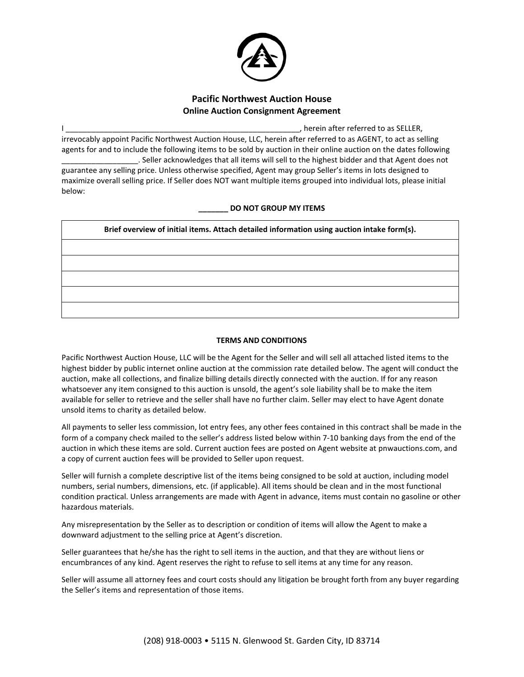

## **Pacific Northwest Auction House Online Auction Consignment Agreement**

berein after referred to as SELLER, irrevocably appoint Pacific Northwest Auction House, LLC, herein after referred to as AGENT, to act as selling agents for and to include the following items to be sold by auction in their online auction on the dates following \_\_\_\_\_\_\_\_\_\_\_\_\_\_\_\_\_\_. Seller acknowledges that all items will sell to the highest bidder and that Agent does not guarantee any selling price. Unless otherwise specified, Agent may group Seller's items in lots designed to maximize overall selling price. If Seller does NOT want multiple items grouped into individual lots, please initial below:

## **\_\_\_\_\_\_\_ DO NOT GROUP MY ITEMS**

| Brief overview of initial items. Attach detailed information using auction intake form(s). |  |
|--------------------------------------------------------------------------------------------|--|
|                                                                                            |  |
|                                                                                            |  |
|                                                                                            |  |
|                                                                                            |  |
|                                                                                            |  |

## **TERMS AND CONDITIONS**

Pacific Northwest Auction House, LLC will be the Agent for the Seller and will sell all attached listed items to the highest bidder by public internet online auction at the commission rate detailed below. The agent will conduct the auction, make all collections, and finalize billing details directly connected with the auction. If for any reason whatsoever any item consigned to this auction is unsold, the agent's sole liability shall be to make the item available for seller to retrieve and the seller shall have no further claim. Seller may elect to have Agent donate unsold items to charity as detailed below.

All payments to seller less commission, lot entry fees, any other fees contained in this contract shall be made in the form of a company check mailed to the seller's address listed below within 7-10 banking days from the end of the auction in which these items are sold. Current auction fees are posted on Agent website at pnwauctions.com, and a copy of current auction fees will be provided to Seller upon request.

Seller will furnish a complete descriptive list of the items being consigned to be sold at auction, including model numbers, serial numbers, dimensions, etc. (if applicable). All items should be clean and in the most functional condition practical. Unless arrangements are made with Agent in advance, items must contain no gasoline or other hazardous materials.

Any misrepresentation by the Seller as to description or condition of items will allow the Agent to make a downward adjustment to the selling price at Agent's discretion.

Seller guarantees that he/she has the right to sell items in the auction, and that they are without liens or encumbrances of any kind. Agent reserves the right to refuse to sell items at any time for any reason.

Seller will assume all attorney fees and court costs should any litigation be brought forth from any buyer regarding the Seller's items and representation of those items.